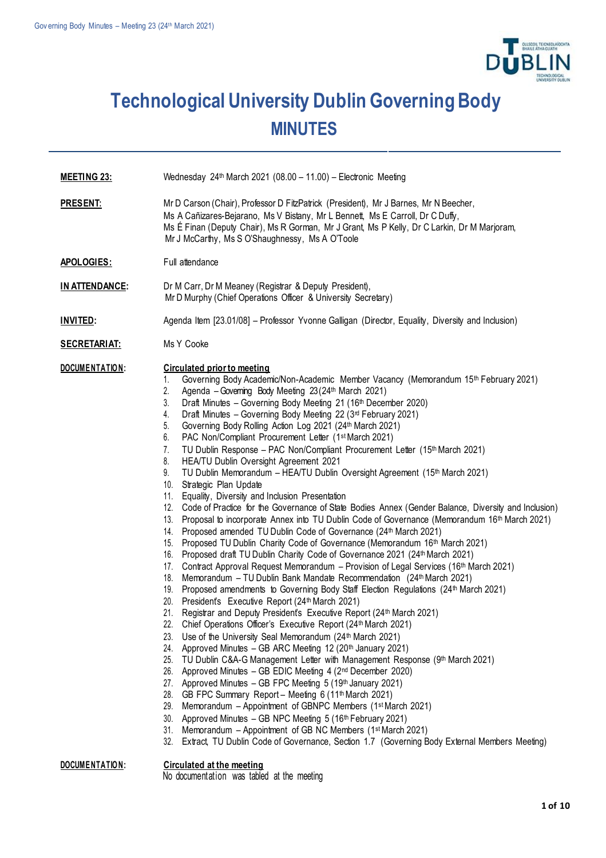

## **Technological University Dublin Governing Body MINUTES**

- **MEETING 23:** Wednesday 24th March 2021 (08.00 11.00) Electronic Meeting
- **PRESENT:** Mr D Carson (Chair), Professor D FitzPatrick (President), Mr J Barnes, Mr N Beecher, Ms A Cañizares-Bejarano, Ms V Bistany, Mr L Bennett, Ms E Carroll, Dr C Duffy, Ms É Finan (Deputy Chair), Ms R Gorman, Mr J Grant, Ms P Kelly, Dr C Larkin, Dr M Marjoram, Mr J McCarthy, Ms S O'Shaughnessy, Ms A O'Toole

APOLOGIES: Full attendance

- **IN ATTENDANCE:** Dr M Carr, Dr M Meaney (Registrar & Deputy President), Mr D Murphy (Chief Operations Officer & University Secretary)
- **INVITED:** Agenda Item [23.01/08] Professor Yvonne Galligan (Director, Equality, Diversity and Inclusion)
- SECRETARIAT: Ms Y Cooke

## **DOCUME NTATIO N: Circulated prior to meeting**

- 1. Governing Body Academic/Non-Academic Member Vacancy (Memorandum 15th February 2021)
- 2. Agenda –Governing Body Meeting 23(24th March 2021)
- 3. Draft Minutes Governing Body Meeting 21 (16th December 2020)
- 4. Draft Minutes Governing Body Meeting 22 (3rd February 2021)
- 5. Governing Body Rolling Action Log 2021 (24th March 2021)
- 6. PAC Non/Compliant Procurement Letter (1stMarch 2021)
- 7. TU Dublin Response PAC Non/Compliant Procurement Letter (15th March 2021)
- 8. HEA/TU Dublin Oversight Agreement 2021
- 9. TU Dublin Memorandum HEA/TU Dublin Oversight Agreement (15th March 2021)
- 10. Strategic Plan Update
- 11. Equality, Diversity and Inclusion Presentation
- 12. Code of Practice for the Governance of State Bodies Annex (Gender Balance, Diversity and Inclusion)
- 13. Proposal to incorporate Annex into TU Dublin Code of Governance (Memorandum 16th March 2021)
- 14. Proposed amended TU Dublin Code of Governance (24<sup>th</sup> March 2021)
- 15. Proposed TU Dublin Charity Code of Governance (Memorandum 16th March 2021)
- 16. Proposed draft TU Dublin Charity Code of Governance 2021 (24th March 2021)
- 17. Contract Approval Request Memorandum Provision of Legal Services (16<sup>th</sup> March 2021)
- 18. Memorandum TU Dublin Bank Mandate Recommendation (24th March 2021)
- 19. Proposed amendments to Governing Body Staff Election Regulations (24<sup>th</sup> March 2021)
- 20. President's Executive Report (24th March 2021)
- 21. Registrar and Deputy President's Executive Report (24th March 2021)
- 22. Chief Operations Officer's Executive Report (24<sup>th</sup> March 2021)
	- 23. Use of the University Seal Memorandum (24th March 2021)
- 24. Approved Minutes GB ARC Meeting 12 (20th January 2021)
- 25. TU Dublin C&A-G Management Letter with Management Response (9th March 2021)
- 26. Approved Minutes GB EDIC Meeting 4 (2nd December 2020)
- 27. Approved Minutes GB FPC Meeting 5 (19th January 2021)
- 28. GB FPC Summary Report Meeting 6 (11<sup>th</sup> March 2021)
- 29. Memorandum Appointment of GBNPC Members (1<sup>st</sup> March 2021)
- 30. Approved Minutes GB NPC Meeting 5 (16th February 2021)
- 31. Memorandum Appointment of GB NC Members (1<sup>st</sup> March 2021)
- 32. Extract, TU Dublin Code of Governance, Section 1.7 (Governing Body External Members Meeting)

## **DOCUME NTATIO N: Circulated at the meeting**

No documentation was tabled at the meeting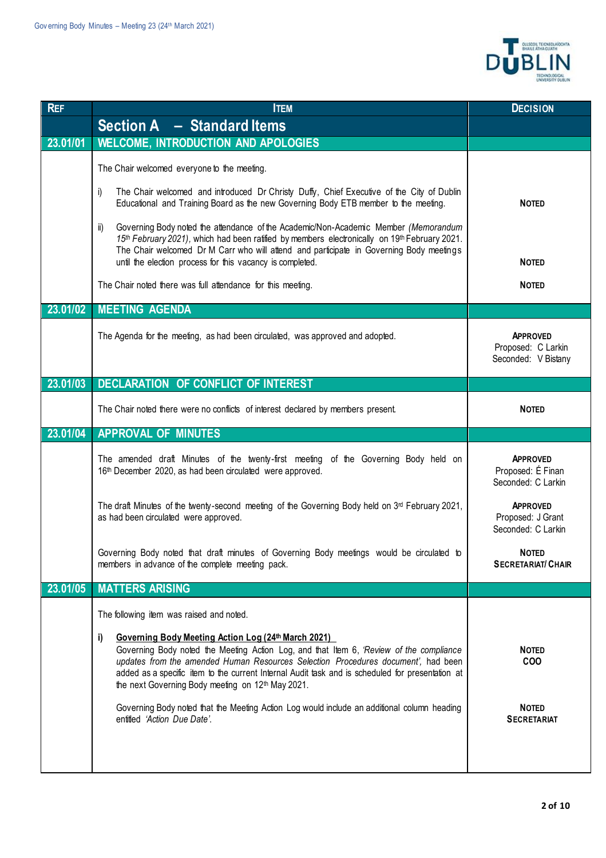

| <b>REF</b> | <b>ITEM</b>                                                                                                                                                                                                                                                                                                                                                                                                    | <b>DECISION</b>                                              |
|------------|----------------------------------------------------------------------------------------------------------------------------------------------------------------------------------------------------------------------------------------------------------------------------------------------------------------------------------------------------------------------------------------------------------------|--------------------------------------------------------------|
|            | Section A - Standard Items                                                                                                                                                                                                                                                                                                                                                                                     |                                                              |
| 23.01/01   | <b>WELCOME, INTRODUCTION AND APOLOGIES</b>                                                                                                                                                                                                                                                                                                                                                                     |                                                              |
|            | The Chair welcomed everyone to the meeting.                                                                                                                                                                                                                                                                                                                                                                    |                                                              |
|            | The Chair welcomed and introduced Dr Christy Duffy, Chief Executive of the City of Dublin<br>i)<br>Educational and Training Board as the new Governing Body ETB member to the meeting.                                                                                                                                                                                                                         | <b>NOTED</b>                                                 |
|            | Governing Body noted the attendance of the Academic/Non-Academic Member (Memorandum<br>ii)<br>15th February 2021), which had been ratified by members electronically on 19th February 2021.<br>The Chair welcomed Dr M Carr who will attend and participate in Governing Body meetings<br>until the election process for this vacancy is completed.                                                            | <b>NOTED</b>                                                 |
|            | The Chair noted there was full attendance for this meeting.                                                                                                                                                                                                                                                                                                                                                    | <b>NOTED</b>                                                 |
| 23.01/02   | <b>MEETING AGENDA</b>                                                                                                                                                                                                                                                                                                                                                                                          |                                                              |
|            | The Agenda for the meeting, as had been circulated, was approved and adopted.                                                                                                                                                                                                                                                                                                                                  | <b>APPROVED</b><br>Proposed: C Larkin<br>Seconded: V Bistany |
| 23.01/03   | DECLARATION OF CONFLICT OF INTEREST                                                                                                                                                                                                                                                                                                                                                                            |                                                              |
|            | The Chair noted there were no conflicts of interest declared by members present.                                                                                                                                                                                                                                                                                                                               | <b>NOTED</b>                                                 |
| 23.01/04   | <b>APPROVAL OF MINUTES</b>                                                                                                                                                                                                                                                                                                                                                                                     |                                                              |
|            | The amended draft Minutes of the twenty-first meeting of the Governing Body held on<br>16th December 2020, as had been circulated were approved.                                                                                                                                                                                                                                                               | <b>APPROVED</b><br>Proposed: É Finan<br>Seconded: C Larkin   |
|            | The draft Minutes of the twenty-second meeting of the Governing Body held on $3rd$ February 2021,<br>as had been circulated were approved.                                                                                                                                                                                                                                                                     | <b>APPROVED</b><br>Proposed: J Grant<br>Seconded: C Larkin   |
|            | Governing Body noted that draft minutes of Governing Body meetings would be circulated to<br>members in advance of the complete meeting pack.                                                                                                                                                                                                                                                                  | <b>NOTED</b><br><b>SECRETARIAT/ CHAIR</b>                    |
| 23.01/05   | <b>MATTERS ARISING</b>                                                                                                                                                                                                                                                                                                                                                                                         |                                                              |
|            | The following item was raised and noted.                                                                                                                                                                                                                                                                                                                                                                       |                                                              |
|            | Governing Body Meeting Action Log (24th March 2021)<br>i)<br>Governing Body noted the Meeting Action Log, and that Item 6, 'Review of the compliance<br>updates from the amended Human Resources Selection Procedures document', had been<br>added as a specific item to the current Internal Audit task and is scheduled for presentation at<br>the next Governing Body meeting on 12 <sup>th</sup> May 2021. | <b>NOTED</b><br><b>COO</b>                                   |
|            | Governing Body noted that the Meeting Action Log would include an additional column heading<br>entitled 'Action Due Date'.                                                                                                                                                                                                                                                                                     | <b>NOTED</b><br><b>SECRETARIAT</b>                           |
|            |                                                                                                                                                                                                                                                                                                                                                                                                                |                                                              |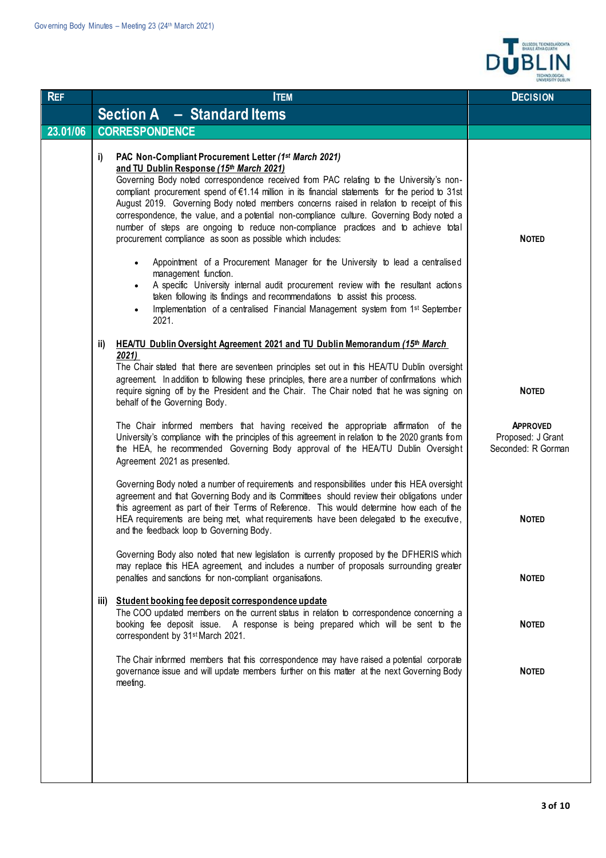

| <b>REF</b> | <b>ITEM</b>                                                                                                                                                                                                                                                                                                                                                                                                                                                                                                                                                                                                                                         | <b>DECISION</b>                                            |
|------------|-----------------------------------------------------------------------------------------------------------------------------------------------------------------------------------------------------------------------------------------------------------------------------------------------------------------------------------------------------------------------------------------------------------------------------------------------------------------------------------------------------------------------------------------------------------------------------------------------------------------------------------------------------|------------------------------------------------------------|
|            | Section A - Standard Items                                                                                                                                                                                                                                                                                                                                                                                                                                                                                                                                                                                                                          |                                                            |
| 23.01/06   | <b>CORRESPONDENCE</b>                                                                                                                                                                                                                                                                                                                                                                                                                                                                                                                                                                                                                               |                                                            |
|            | PAC Non-Compliant Procurement Letter (1st March 2021)<br>i)<br>and TU Dublin Response (15th March 2021)<br>Governing Body noted correspondence received from PAC relating to the University's non-<br>compliant procurement spend of €1.14 million in its financial statements for the period to 31st<br>August 2019. Governing Body noted members concerns raised in relation to receipt of this<br>correspondence, the value, and a potential non-compliance culture. Governing Body noted a<br>number of steps are ongoing to reduce non-compliance practices and to achieve total<br>procurement compliance as soon as possible which includes: | <b>NOTED</b>                                               |
|            | Appointment of a Procurement Manager for the University to lead a centralised<br>$\bullet$<br>management function.<br>A specific University internal audit procurement review with the resultant actions<br>$\bullet$<br>taken following its findings and recommendations to assist this process.<br>Implementation of a centralised Financial Management system from 1st September<br>$\bullet$<br>2021.                                                                                                                                                                                                                                           |                                                            |
|            | HEA/TU Dublin Oversight Agreement 2021 and TU Dublin Memorandum (15th March<br>ii)                                                                                                                                                                                                                                                                                                                                                                                                                                                                                                                                                                  |                                                            |
|            | 2021<br>The Chair stated that there are seventeen principles set out in this HEA/TU Dublin oversight<br>agreement. In addition to following these principles, there are a number of confirmations which<br>require signing off by the President and the Chair. The Chair noted that he was signing on<br>behalf of the Governing Body.                                                                                                                                                                                                                                                                                                              | <b>NOTED</b>                                               |
|            | The Chair informed members that having received the appropriate affirmation of the<br>University's compliance with the principles of this agreement in relation to the 2020 grants from<br>the HEA, he recommended Governing Body approval of the HEA/TU Dublin Oversight<br>Agreement 2021 as presented.                                                                                                                                                                                                                                                                                                                                           | <b>APPROVED</b><br>Proposed: J Grant<br>Seconded: R Gorman |
|            | Governing Body noted a number of requirements and responsibilities under this HEA oversight<br>agreement and that Governing Body and its Committees should review their obligations under<br>this agreement as part of their Terms of Reference. This would determine how each of the<br>HEA requirements are being met, what requirements have been delegated to the executive,<br>and the feedback loop to Governing Body.                                                                                                                                                                                                                        | <b>NOTED</b>                                               |
|            | Governing Body also noted that new legislation is currently proposed by the DFHERIS which<br>may replace this HEA agreement, and includes a number of proposals surrounding greater<br>penalties and sanctions for non-compliant organisations.                                                                                                                                                                                                                                                                                                                                                                                                     | <b>NOTED</b>                                               |
|            | iii) Student booking fee deposit correspondence update<br>The COO updated members on the current status in relation to correspondence concerning a<br>booking fee deposit issue. A response is being prepared which will be sent to the<br>correspondent by 31 <sup>st</sup> March 2021.                                                                                                                                                                                                                                                                                                                                                            | <b>NOTED</b>                                               |
|            | The Chair informed members that this correspondence may have raised a potential corporate<br>governance issue and will update members further on this matter at the next Governing Body<br>meeting.                                                                                                                                                                                                                                                                                                                                                                                                                                                 | <b>NOTED</b>                                               |
|            |                                                                                                                                                                                                                                                                                                                                                                                                                                                                                                                                                                                                                                                     |                                                            |
|            |                                                                                                                                                                                                                                                                                                                                                                                                                                                                                                                                                                                                                                                     |                                                            |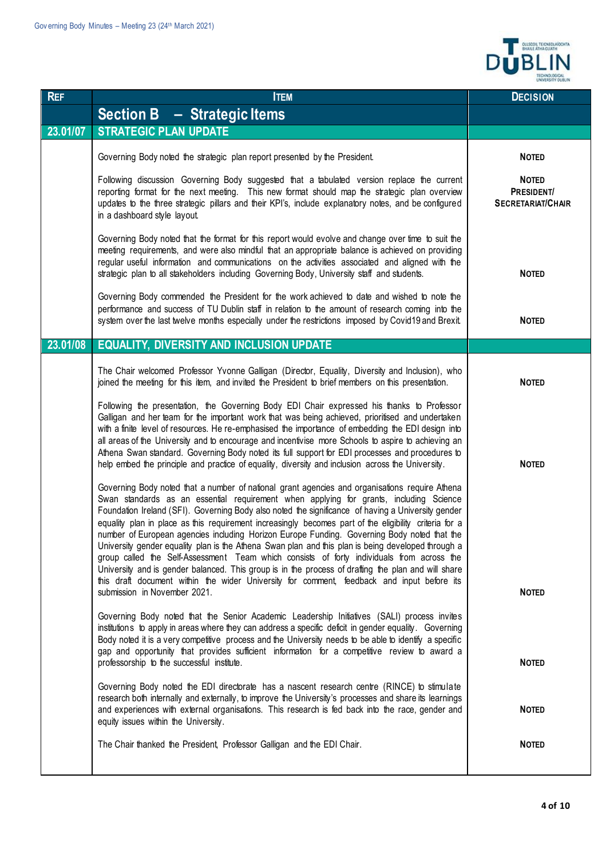

| <b>REF</b> | <b>ITEM</b>                                                                                                                                                                                                                                                                                                                                                                                                                                                                                                                                                                                                                                                                                                                                                                                                                                                                                                                                     | <b>DECISION</b>                                        |
|------------|-------------------------------------------------------------------------------------------------------------------------------------------------------------------------------------------------------------------------------------------------------------------------------------------------------------------------------------------------------------------------------------------------------------------------------------------------------------------------------------------------------------------------------------------------------------------------------------------------------------------------------------------------------------------------------------------------------------------------------------------------------------------------------------------------------------------------------------------------------------------------------------------------------------------------------------------------|--------------------------------------------------------|
|            | <b>Section B - Strategic Items</b>                                                                                                                                                                                                                                                                                                                                                                                                                                                                                                                                                                                                                                                                                                                                                                                                                                                                                                              |                                                        |
| 23.01/07   | <b>STRATEGIC PLAN UPDATE</b>                                                                                                                                                                                                                                                                                                                                                                                                                                                                                                                                                                                                                                                                                                                                                                                                                                                                                                                    |                                                        |
|            | Governing Body noted the strategic plan report presented by the President.                                                                                                                                                                                                                                                                                                                                                                                                                                                                                                                                                                                                                                                                                                                                                                                                                                                                      | <b>NOTED</b>                                           |
|            | Following discussion Governing Body suggested that a tabulated version replace the current<br>reporting format for the next meeting. This new format should map the strategic plan overview<br>updates to the three strategic pillars and their KPI's, include explanatory notes, and be configured<br>in a dashboard style layout.                                                                                                                                                                                                                                                                                                                                                                                                                                                                                                                                                                                                             | <b>NOTED</b><br>PRESIDENT/<br><b>SECRETARIAT/CHAIR</b> |
|            | Governing Body noted that the format for this report would evolve and change over time to suit the<br>meeting requirements, and were also mindful that an appropriate balance is achieved on providing<br>regular useful information and communications on the activities associated and aligned with the<br>strategic plan to all stakeholders including Governing Body, University staff and students.                                                                                                                                                                                                                                                                                                                                                                                                                                                                                                                                        | <b>NOTED</b>                                           |
|            | Governing Body commended the President for the work achieved to date and wished to note the<br>performance and success of TU Dublin staff in relation to the amount of research coming into the<br>system over the last twelve months especially under the restrictions imposed by Covid19 and Brexit.                                                                                                                                                                                                                                                                                                                                                                                                                                                                                                                                                                                                                                          | <b>NOTED</b>                                           |
| 23.01/08   | <b>EQUALITY, DIVERSITY AND INCLUSION UPDATE</b>                                                                                                                                                                                                                                                                                                                                                                                                                                                                                                                                                                                                                                                                                                                                                                                                                                                                                                 |                                                        |
|            | The Chair welcomed Professor Yvonne Galligan (Director, Equality, Diversity and Inclusion), who<br>joined the meeting for this item, and invited the President to brief members on this presentation.                                                                                                                                                                                                                                                                                                                                                                                                                                                                                                                                                                                                                                                                                                                                           | <b>NOTED</b>                                           |
|            | Following the presentation, the Governing Body EDI Chair expressed his thanks to Professor<br>Galligan and her team for the important work that was being achieved, prioritised and undertaken<br>with a finite level of resources. He re-emphasised the importance of embedding the EDI design into<br>all areas of the University and to encourage and incentivise more Schools to aspire to achieving an<br>Athena Swan standard. Governing Body noted its full support for EDI processes and procedures to<br>help embed the principle and practice of equality, diversity and inclusion across the University.                                                                                                                                                                                                                                                                                                                             | <b>NOTED</b>                                           |
|            | Governing Body noted that a number of national grant agencies and organisations require Athena<br>Swan standards as an essential requirement when applying for grants, including Science<br>Foundation Ireland (SFI). Governing Body also noted the significance of having a University gender<br>equality plan in place as this requirement increasingly becomes part of the eligibility criteria for a<br>number of European agencies including Horizon Europe Funding. Governing Body noted that the<br>University gender equality plan is the Athena Swan plan and this plan is being developed through a<br>group called the Self-Assessment Team which consists of forty individuals from across the<br>University and is gender balanced. This group is in the process of drafting the plan and will share<br>this draft document within the wider University for comment, feedback and input before its<br>submission in November 2021. | <b>NOTED</b>                                           |
|            | Governing Body noted that the Senior Academic Leadership Initiatives (SALI) process invites<br>institutions to apply in areas where they can address a specific deficit in gender equality. Governing<br>Body noted it is a very competitive process and the University needs to be able to identify a specific<br>gap and opportunity that provides sufficient information for a competitive review to award a<br>professorship to the successful institute.                                                                                                                                                                                                                                                                                                                                                                                                                                                                                   | <b>NOTED</b>                                           |
|            | Governing Body noted the EDI directorate has a nascent research centre (RINCE) to stimulate<br>research both internally and externally, to improve the University's processes and share its learnings<br>and experiences with external organisations. This research is fed back into the race, gender and<br>equity issues within the University.                                                                                                                                                                                                                                                                                                                                                                                                                                                                                                                                                                                               | <b>NOTED</b>                                           |
|            | The Chair thanked the President, Professor Galligan and the EDI Chair.                                                                                                                                                                                                                                                                                                                                                                                                                                                                                                                                                                                                                                                                                                                                                                                                                                                                          | <b>NOTED</b>                                           |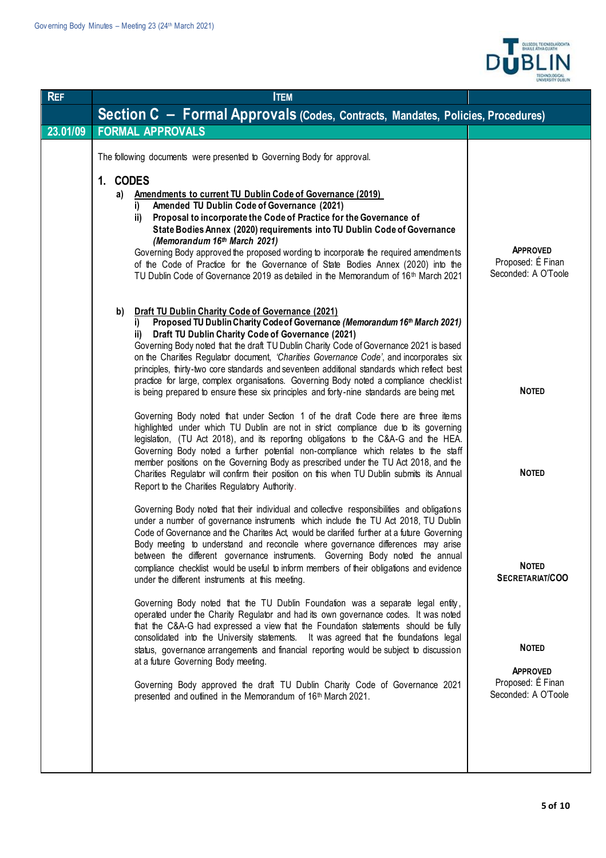

| <b>REF</b> | <b>ITEM</b>                                                                                                                                                                                                                                                                                                                                                                                                                                                                                                                                                                                                                                                                                                                                                                                                                                                                                                                                                                                                                                                                                                                                                                                                                                                                     |                                                                                                                |
|------------|---------------------------------------------------------------------------------------------------------------------------------------------------------------------------------------------------------------------------------------------------------------------------------------------------------------------------------------------------------------------------------------------------------------------------------------------------------------------------------------------------------------------------------------------------------------------------------------------------------------------------------------------------------------------------------------------------------------------------------------------------------------------------------------------------------------------------------------------------------------------------------------------------------------------------------------------------------------------------------------------------------------------------------------------------------------------------------------------------------------------------------------------------------------------------------------------------------------------------------------------------------------------------------|----------------------------------------------------------------------------------------------------------------|
|            | Section C - Formal Approvals (Codes, Contracts, Mandates, Policies, Procedures)                                                                                                                                                                                                                                                                                                                                                                                                                                                                                                                                                                                                                                                                                                                                                                                                                                                                                                                                                                                                                                                                                                                                                                                                 |                                                                                                                |
| 23.01/09   | <b>FORMAL APPROVALS</b>                                                                                                                                                                                                                                                                                                                                                                                                                                                                                                                                                                                                                                                                                                                                                                                                                                                                                                                                                                                                                                                                                                                                                                                                                                                         |                                                                                                                |
|            | The following documents were presented to Governing Body for approval.<br>1. CODES<br>Amendments to current TU Dublin Code of Governance (2019)<br>a)<br>Amended TU Dublin Code of Governance (2021)<br>i)<br>Proposal to incorporate the Code of Practice for the Governance of<br>ii)<br>State Bodies Annex (2020) requirements into TU Dublin Code of Governance<br>(Memorandum 16th March 2021)<br>Governing Body approved the proposed wording to incorporate the required amendments<br>of the Code of Practice for the Governance of State Bodies Annex (2020) into the<br>TU Dublin Code of Governance 2019 as detailed in the Memorandum of 16th March 2021                                                                                                                                                                                                                                                                                                                                                                                                                                                                                                                                                                                                            | <b>APPROVED</b><br>Proposed: É Finan<br>Seconded: A O'Toole                                                    |
|            | <b>Draft TU Dublin Charity Code of Governance (2021)</b><br>b)<br>Proposed TU Dublin Charity Code of Governance (Memorandum 16th March 2021)<br>Draft TU Dublin Charity Code of Governance (2021)<br>ii)<br>Governing Body noted that the draft TU Dublin Charity Code of Governance 2021 is based<br>on the Charities Regulator document, 'Charities Governance Code', and incorporates six<br>principles, thirty-two core standards and seventeen additional standards which reflect best<br>practice for large, complex organisations. Governing Body noted a compliance checklist<br>is being prepared to ensure these six principles and forty-nine standards are being met.<br>Governing Body noted that under Section 1 of the draft Code there are three items<br>highlighted under which TU Dublin are not in strict compliance due to its governing<br>legislation, (TU Act 2018), and its reporting obligations to the C&A-G and the HEA.<br>Governing Body noted a further potential non-compliance which relates to the staff<br>member positions on the Governing Body as prescribed under the TU Act 2018, and the<br>Charities Regulator will confirm their position on this when TU Dublin submits its Annual<br>Report to the Charities Regulatory Authority. | <b>NOTED</b><br><b>NOTED</b>                                                                                   |
|            | Governing Body noted that their individual and collective responsibilities and obligations<br>under a number of governance instruments which include the TU Act 2018, TU Dublin<br>Code of Governance and the Charites Act, would be clarified further at a future Governing<br>Body meeting to understand and reconcile where governance differences may arise<br>between the different governance instruments. Governing Body noted the annual<br>compliance checklist would be useful to inform members of their obligations and evidence<br>under the different instruments at this meeting.<br>Governing Body noted that the TU Dublin Foundation was a separate legal entity,<br>operated under the Charity Regulator and had its own governance codes. It was noted<br>that the C&A-G had expressed a view that the Foundation statements should be fully<br>consolidated into the University statements. It was agreed that the foundations legal<br>status, governance arrangements and financial reporting would be subject to discussion<br>at a future Governing Body meeting.<br>Governing Body approved the draft TU Dublin Charity Code of Governance 2021<br>presented and outlined in the Memorandum of 16th March 2021.                                       | <b>NOTED</b><br>SECRETARIAT/COO<br><b>NOTED</b><br><b>APPROVED</b><br>Proposed: É Finan<br>Seconded: A O'Toole |
|            |                                                                                                                                                                                                                                                                                                                                                                                                                                                                                                                                                                                                                                                                                                                                                                                                                                                                                                                                                                                                                                                                                                                                                                                                                                                                                 |                                                                                                                |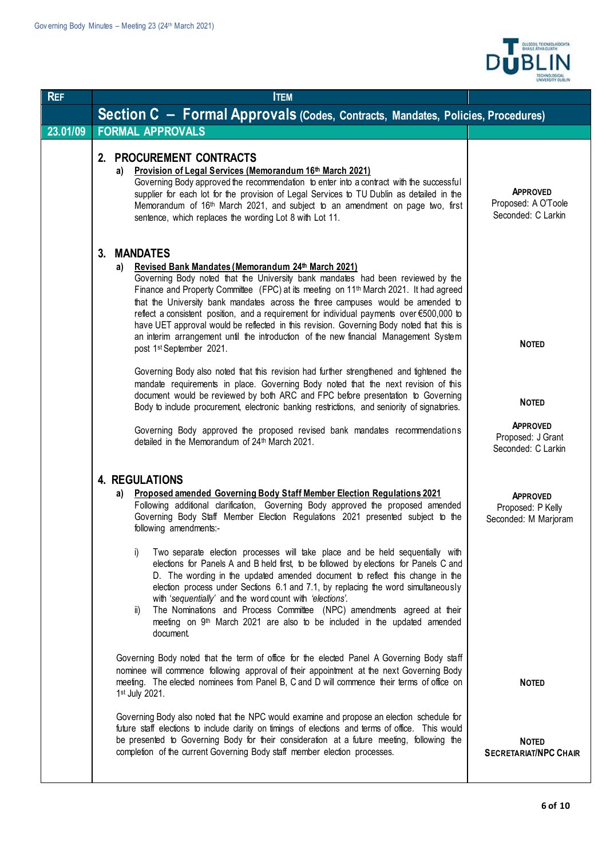

| <b>REF</b> | <b>ITEM</b>                                                                                                                                                                                                                                                                                                                                                                                                                                                                                                                                                                                                                                                            |                                                                            |
|------------|------------------------------------------------------------------------------------------------------------------------------------------------------------------------------------------------------------------------------------------------------------------------------------------------------------------------------------------------------------------------------------------------------------------------------------------------------------------------------------------------------------------------------------------------------------------------------------------------------------------------------------------------------------------------|----------------------------------------------------------------------------|
|            | Section C - Formal Approvals (Codes, Contracts, Mandates, Policies, Procedures)                                                                                                                                                                                                                                                                                                                                                                                                                                                                                                                                                                                        |                                                                            |
| 23.01/09   | <b>FORMAL APPROVALS</b>                                                                                                                                                                                                                                                                                                                                                                                                                                                                                                                                                                                                                                                |                                                                            |
|            | <b>PROCUREMENT CONTRACTS</b><br>2.<br>a) Provision of Legal Services (Memorandum 16th March 2021)<br>Governing Body approved the recommendation to enter into a contract with the successful<br>supplier for each lot for the provision of Legal Services to TU Dublin as detailed in the<br>Memorandum of 16th March 2021, and subject to an amendment on page two, first<br>sentence, which replaces the wording Lot 8 with Lot 11.                                                                                                                                                                                                                                  | <b>APPROVED</b><br>Proposed: A O'Toole<br>Seconded: C Larkin               |
|            | <b>MANDATES</b><br>3.<br>a) Revised Bank Mandates (Memorandum 24th March 2021)<br>Governing Body noted that the University bank mandates had been reviewed by the<br>Finance and Property Committee (FPC) at its meeting on 11 <sup>th</sup> March 2021. It had agreed<br>that the University bank mandates across the three campuses would be amended to<br>reflect a consistent position, and a requirement for individual payments over €500,000 to<br>have UET approval would be reflected in this revision. Governing Body noted that this is<br>an interim arrangement until the introduction of the new financial Management System<br>post 1st September 2021. | <b>NOTED</b>                                                               |
|            | Governing Body also noted that this revision had further strengthened and tightened the<br>mandate requirements in place. Governing Body noted that the next revision of this<br>document would be reviewed by both ARC and FPC before presentation to Governing<br>Body to include procurement, electronic banking restrictions, and seniority of signatories.<br>Governing Body approved the proposed revised bank mandates recommendations<br>detailed in the Memorandum of 24 <sup>th</sup> March 2021.                                                                                                                                                            | <b>NOTED</b><br><b>APPROVED</b><br>Proposed: J Grant<br>Seconded: C Larkin |
|            | <b>4. REGULATIONS</b><br>Proposed amended Governing Body Staff Member Election Regulations 2021<br>a)<br>Following additional clarification, Governing Body approved the proposed amended<br>Governing Body Staff Member Election Regulations 2021 presented subject to the<br>following amendments:-<br>Two separate election processes will take place and be held sequentially with<br>i)<br>elections for Panels A and B held first, to be followed by elections for Panels C and<br>D. The wording in the updated amended document to reflect this change in the                                                                                                  | <b>APPROVED</b><br>Proposed: P Kelly<br>Seconded: M Marjoram               |
|            | election process under Sections 6.1 and 7.1, by replacing the word simultaneously<br>with 'sequentially' and the word count with 'elections'.<br>The Nominations and Process Committee (NPC) amendments agreed at their<br>ii)<br>meeting on 9 <sup>th</sup> March 2021 are also to be included in the updated amended<br>document                                                                                                                                                                                                                                                                                                                                     |                                                                            |
|            | Governing Body noted that the term of office for the elected Panel A Governing Body staff<br>nominee will commence following approval of their appointment at the next Governing Body<br>meeting. The elected nominees from Panel B, C and D will commence their terms of office on<br>1st July 2021.                                                                                                                                                                                                                                                                                                                                                                  | <b>NOTED</b>                                                               |
|            | Governing Body also noted that the NPC would examine and propose an election schedule for<br>future staff elections to include clarity on timings of elections and terms of office. This would<br>be presented to Governing Body for their consideration at a future meeting, following the<br>completion of the current Governing Body staff member election processes.                                                                                                                                                                                                                                                                                               | <b>NOTED</b><br><b>SECRETARIAT/NPC CHAIR</b>                               |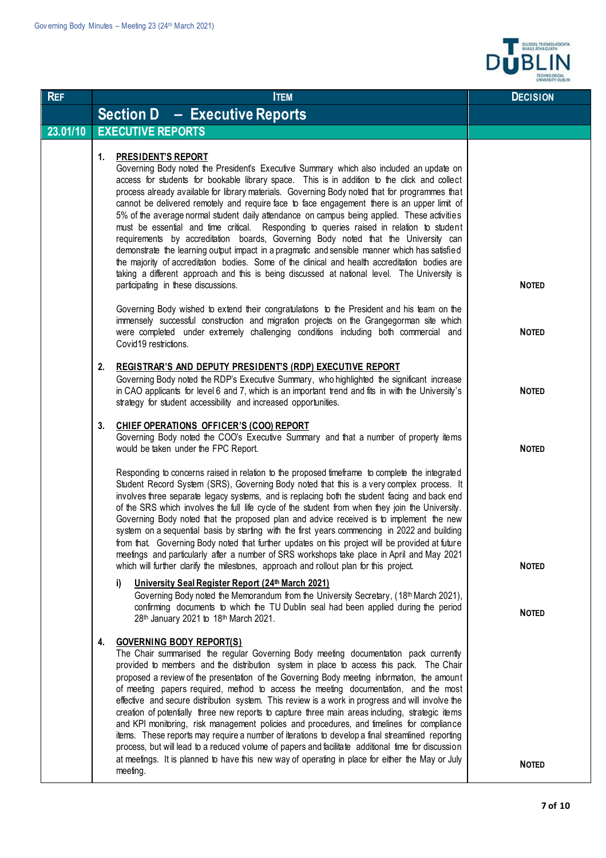

| <b>REF</b> | <b>ITEM</b>                                                                                                                                                                                                                                                                                                                                                                                                                                                                                                                                                                                                                                                                                                                                                                                                                                                                                                                                                                                                                                            | <b>DECISION</b>              |
|------------|--------------------------------------------------------------------------------------------------------------------------------------------------------------------------------------------------------------------------------------------------------------------------------------------------------------------------------------------------------------------------------------------------------------------------------------------------------------------------------------------------------------------------------------------------------------------------------------------------------------------------------------------------------------------------------------------------------------------------------------------------------------------------------------------------------------------------------------------------------------------------------------------------------------------------------------------------------------------------------------------------------------------------------------------------------|------------------------------|
|            | <b>Section D - Executive Reports</b>                                                                                                                                                                                                                                                                                                                                                                                                                                                                                                                                                                                                                                                                                                                                                                                                                                                                                                                                                                                                                   |                              |
| 23.01/10   | <b>EXECUTIVE REPORTS</b>                                                                                                                                                                                                                                                                                                                                                                                                                                                                                                                                                                                                                                                                                                                                                                                                                                                                                                                                                                                                                               |                              |
|            | 1.<br><b>PRESIDENT'S REPORT</b><br>Governing Body noted the President's Executive Summary which also included an update on<br>access for students for bookable library space. This is in addition to the click and collect<br>process already available for library materials. Governing Body noted that for programmes that<br>cannot be delivered remotely and require face to face engagement there is an upper limit of<br>5% of the average normal student daily attendance on campus being applied. These activities<br>must be essential and time critical. Responding to queries raised in relation to student<br>requirements by accreditation boards, Governing Body noted that the University can<br>demonstrate the learning output impact in a pragmatic and sensible manner which has satisfied<br>the majority of accreditation bodies. Some of the clinical and health accreditation bodies are<br>taking a different approach and this is being discussed at national level. The University is<br>participating in these discussions. | <b>NOTED</b>                 |
|            | Governing Body wished to extend their congratulations to the President and his team on the<br>immensely successful construction and migration projects on the Grangegorman site which<br>were completed under extremely challenging conditions including both commercial and<br>Covid19 restrictions.                                                                                                                                                                                                                                                                                                                                                                                                                                                                                                                                                                                                                                                                                                                                                  | <b>NOTED</b>                 |
|            | 2.<br><b>REGISTRAR'S AND DEPUTY PRESIDENT'S (RDP) EXECUTIVE REPORT</b><br>Governing Body noted the RDP's Executive Summary, who highlighted the significant increase<br>in CAO applicants for level 6 and 7, which is an important trend and fits in with the University's<br>strategy for student accessibility and increased opportunities.                                                                                                                                                                                                                                                                                                                                                                                                                                                                                                                                                                                                                                                                                                          | <b>NOTED</b>                 |
|            | 3.<br>CHIEF OPERATIONS OFFICER'S (COO) REPORT<br>Governing Body noted the COO's Executive Summary and that a number of property items<br>would be taken under the FPC Report.                                                                                                                                                                                                                                                                                                                                                                                                                                                                                                                                                                                                                                                                                                                                                                                                                                                                          | <b>NOTED</b>                 |
|            | Responding to concerns raised in relation to the proposed timeframe to complete the integrated<br>Student Record System (SRS), Governing Body noted that this is a very complex process. It<br>involves three separate legacy systems, and is replacing both the student facing and back end<br>of the SRS which involves the full life cycle of the student from when they join the University.<br>Governing Body noted that the proposed plan and advice received is to implement the new<br>system on a sequential basis by starting with the first years commencing in 2022 and building<br>from that. Governing Body noted that further updates on this project will be provided at future<br>meetings and particularly after a number of SRS workshops take place in April and May 2021                                                                                                                                                                                                                                                          |                              |
|            | which will further clarify the milestones, approach and rollout plan for this project.<br>University Seal Register Report (24th March 2021)<br>i)<br>Governing Body noted the Memorandum from the University Secretary, (18th March 2021),<br>confirming documents to which the TU Dublin seal had been applied during the period<br>28th January 2021 to 18th March 2021.                                                                                                                                                                                                                                                                                                                                                                                                                                                                                                                                                                                                                                                                             | <b>NOTED</b><br><b>NOTED</b> |
|            | <b>GOVERNING BODY REPORT(S)</b><br>4.<br>The Chair summarised the regular Governing Body meeting documentation pack currently<br>provided to members and the distribution system in place to access this pack. The Chair<br>proposed a review of the presentation of the Governing Body meeting information, the amount<br>of meeting papers required, method to access the meeting documentation, and the most<br>effective and secure distribution system. This review is a work in progress and will involve the<br>creation of potentially three new reports to capture three main areas including, strategic items<br>and KPI monitoring, risk management policies and procedures, and timelines for compliance<br>items. These reports may require a number of iterations to develop a final streamlined reporting<br>process, but will lead to a reduced volume of papers and facilitate additional time for discussion<br>at meetings. It is planned to have this new way of operating in place for either the May or July<br>meeting.         | <b>NOTED</b>                 |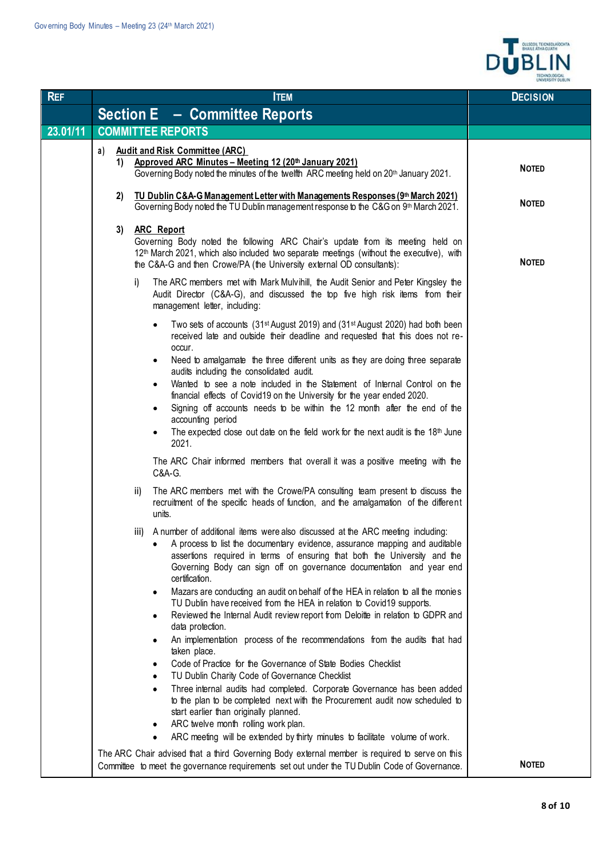

| <b>REF</b> | <b>ITEM</b>                                                                                                                                                                                                                                                                                                                               | <b>DECISION</b> |
|------------|-------------------------------------------------------------------------------------------------------------------------------------------------------------------------------------------------------------------------------------------------------------------------------------------------------------------------------------------|-----------------|
|            | <b>Section E - Committee Reports</b>                                                                                                                                                                                                                                                                                                      |                 |
| 23.01/11   | <b>COMMITTEE REPORTS</b>                                                                                                                                                                                                                                                                                                                  |                 |
|            | <b>Audit and Risk Committee (ARC)</b><br>a)<br>Approved ARC Minutes - Meeting 12 (20th January 2021)<br>1)<br>Governing Body noted the minutes of the twelfth ARC meeting held on 20th January 2021.                                                                                                                                      | <b>NOTED</b>    |
|            | TU Dublin C&A-G Management Letter with Managements Responses (9th March 2021)<br>2)<br>Governing Body noted the TU Dublin management response to the C&G on 9th March 2021.                                                                                                                                                               | <b>NOTED</b>    |
|            | <b>ARC Report</b><br>3)<br>Governing Body noted the following ARC Chair's update from its meeting held on<br>12 <sup>th</sup> March 2021, which also included two separate meetings (without the executive), with<br>the C&A-G and then Crowe/PA (the University external OD consultants):                                                | <b>NOTED</b>    |
|            | The ARC members met with Mark Mulvihill, the Audit Senior and Peter Kingsley the<br>i)<br>Audit Director (C&A-G), and discussed the top five high risk items from their<br>management letter, including:                                                                                                                                  |                 |
|            | Two sets of accounts (31st August 2019) and (31st August 2020) had both been<br>$\bullet$<br>received late and outside their deadline and requested that this does not re-<br>occur.                                                                                                                                                      |                 |
|            | Need to amalgamate the three different units as they are doing three separate<br>audits including the consolidated audit.                                                                                                                                                                                                                 |                 |
|            | Wanted to see a note included in the Statement of Internal Control on the<br>٠<br>financial effects of Covid19 on the University for the year ended 2020.                                                                                                                                                                                 |                 |
|            | Signing off accounts needs to be within the 12 month after the end of the<br>accounting period<br>The expected close out date on the field work for the next audit is the 18th June<br>2021.                                                                                                                                              |                 |
|            | The ARC Chair informed members that overall it was a positive meeting with the<br>C&A-G.                                                                                                                                                                                                                                                  |                 |
|            | The ARC members met with the Crowe/PA consulting team present to discuss the<br>ii)<br>recruitment of the specific heads of function, and the amalgamation of the different<br>units.                                                                                                                                                     |                 |
|            | iii) A number of additional items were also discussed at the ARC meeting including:<br>A process to list the documentary evidence, assurance mapping and auditable<br>assertions required in terms of ensuring that both the University and the<br>Governing Body can sign off on governance documentation and year end<br>certification. |                 |
|            | Mazars are conducting an audit on behalf of the HEA in relation to all the monies<br>$\bullet$<br>TU Dublin have received from the HEA in relation to Covid19 supports.<br>Reviewed the Internal Audit review report from Deloitte in relation to GDPR and<br>٠                                                                           |                 |
|            | data protection.<br>An implementation process of the recommendations from the audits that had<br>٠<br>taken place.                                                                                                                                                                                                                        |                 |
|            | Code of Practice for the Governance of State Bodies Checklist<br>TU Dublin Charity Code of Governance Checklist                                                                                                                                                                                                                           |                 |
|            | Three internal audits had completed. Corporate Governance has been added<br>٠<br>to the plan to be completed next with the Procurement audit now scheduled to<br>start earlier than originally planned.<br>ARC twelve month rolling work plan.                                                                                            |                 |
|            | ٠<br>ARC meeting will be extended by thirty minutes to facilitate volume of work.<br>$\bullet$                                                                                                                                                                                                                                            |                 |
|            | The ARC Chair advised that a third Governing Body external member is required to serve on this<br>Committee to meet the governance requirements set out under the TU Dublin Code of Governance.                                                                                                                                           | <b>NOTED</b>    |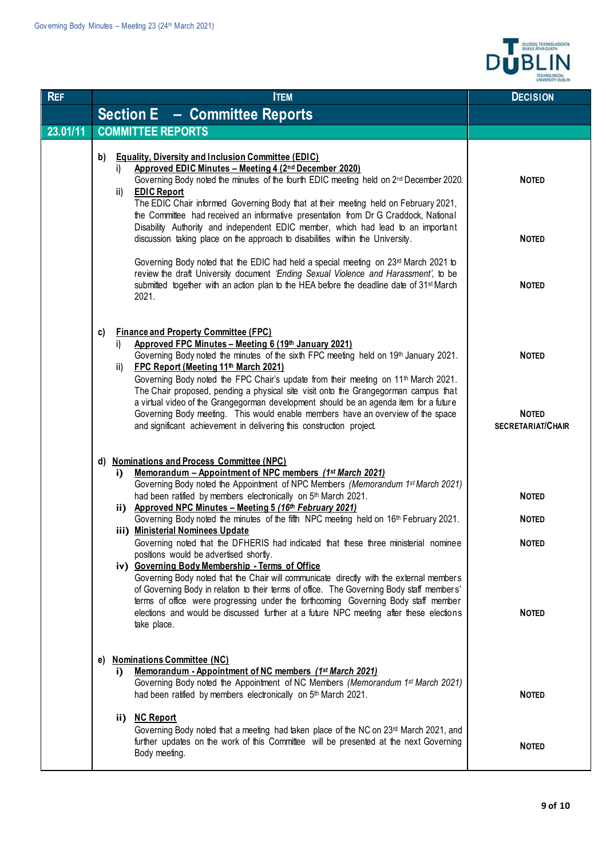

| <b>REF</b> | <b>ITEM</b>                                                                                                                                                                                                                                                                                                                                                                                                                            | <b>DECISION</b>                          |
|------------|----------------------------------------------------------------------------------------------------------------------------------------------------------------------------------------------------------------------------------------------------------------------------------------------------------------------------------------------------------------------------------------------------------------------------------------|------------------------------------------|
|            | <b>Section E</b> - Committee Reports                                                                                                                                                                                                                                                                                                                                                                                                   |                                          |
| 23.01/11   | <b>COMMITTEE REPORTS</b>                                                                                                                                                                                                                                                                                                                                                                                                               |                                          |
|            | <b>Equality, Diversity and Inclusion Committee (EDIC)</b><br>b)<br>Approved EDIC Minutes - Meeting 4 (2nd December 2020)<br>i)<br>Governing Body noted the minutes of the fourth EDIC meeting held on 2nd December 2020.<br><b>EDIC Report</b><br>ii)<br>The EDIC Chair informed Governing Body that at their meeting held on February 2021,<br>the Committee had received an informative presentation from Dr G Craddock, National    | <b>NOTED</b>                             |
|            | Disability Authority and independent EDIC member, which had lead to an important<br>discussion taking place on the approach to disabilities within the University.                                                                                                                                                                                                                                                                     | <b>NOTED</b>                             |
|            | Governing Body noted that the EDIC had held a special meeting on 23 <sup>rd</sup> March 2021 to<br>review the draft University document 'Ending Sexual Violence and Harassment', to be<br>submitted together with an action plan to the HEA before the deadline date of 31 <sup>st</sup> March<br>2021.                                                                                                                                | <b>NOTED</b>                             |
|            | <b>Finance and Property Committee (FPC)</b><br>C)<br>Approved FPC Minutes - Meeting 6 (19th January 2021)<br>i)<br>Governing Body noted the minutes of the sixth FPC meeting held on 19th January 2021.<br>FPC Report (Meeting 11th March 2021)<br>ii)<br>Governing Body noted the FPC Chair's update from their meeting on 11 <sup>th</sup> March 2021.                                                                               | <b>NOTED</b>                             |
|            | The Chair proposed, pending a physical site visit onto the Grangegorman campus that<br>a virtual video of the Grangegorman development should be an agenda item for a future<br>Governing Body meeting. This would enable members have an overview of the space<br>and significant achievement in delivering this construction project.                                                                                                | <b>NOTED</b><br><b>SECRETARIAT/CHAIR</b> |
|            | d) Nominations and Process Committee (NPC)<br><u> Memorandum – Appointment of NPC members (1st March 2021)</u><br>i)                                                                                                                                                                                                                                                                                                                   |                                          |
|            | Governing Body noted the Appointment of NPC Members (Memorandum 1st March 2021)<br>had been ratified by members electronically on 5th March 2021.                                                                                                                                                                                                                                                                                      | <b>NOTED</b>                             |
|            | ii) Approved NPC Minutes - Meeting 5 (16th February 2021)<br>Governing Body noted the minutes of the fifth NPC meeting held on 16th February 2021.                                                                                                                                                                                                                                                                                     | <b>NOTED</b>                             |
|            | iii) Ministerial Nominees Update<br>Governing noted that the DFHERIS had indicated that these three ministerial nominee<br>positions would be advertised shortly.                                                                                                                                                                                                                                                                      | <b>NOTED</b>                             |
|            | iv) Governing Body Membership - Terms of Office<br>Governing Body noted that the Chair will communicate directly with the external members<br>of Governing Body in relation to their terms of office. The Governing Body staff members'<br>terms of office were progressing under the forthcoming Governing Body staff member<br>elections and would be discussed further at a future NPC meeting after these elections<br>take place. | <b>NOTED</b>                             |
|            | <b>Nominations Committee (NC)</b><br>e)<br><u> Memorandum - Appointment of NC members (1st March 2021)</u><br>i)<br>Governing Body noted the Appointment of NC Members (Memorandum 1st March 2021)<br>had been ratified by members electronically on 5th March 2021.                                                                                                                                                                   | <b>NOTED</b>                             |
|            | ii) NC Report<br>Governing Body noted that a meeting had taken place of the NC on 23 <sup>rd</sup> March 2021, and<br>further updates on the work of this Committee will be presented at the next Governing<br>Body meeting.                                                                                                                                                                                                           | <b>NOTED</b>                             |